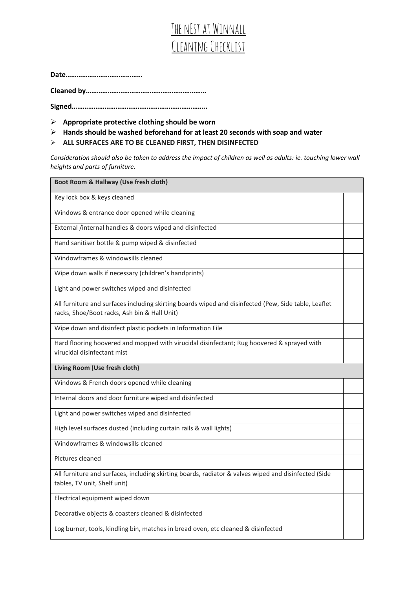## THE NEST AT WINNALL Cleaning Checklist

**Date……………………………………**

**Cleaned by…………………………………………………………**

**Signed………………………………………………………………..**

- ➢ **Appropriate protective clothing should be worn**
- ➢ **Hands should be washed beforehand for at least 20 seconds with soap and water**
- ➢ **ALL SURFACES ARE TO BE CLEANED FIRST, THEN DISINFECTED**

*Consideration should also be taken to address the impact of children as well as adults: ie. touching lower wall heights and parts of furniture.* 

| Boot Room & Hallway (Use fresh cloth)                                                                                                                |  |  |
|------------------------------------------------------------------------------------------------------------------------------------------------------|--|--|
| Key lock box & keys cleaned                                                                                                                          |  |  |
| Windows & entrance door opened while cleaning                                                                                                        |  |  |
| External /internal handles & doors wiped and disinfected                                                                                             |  |  |
| Hand sanitiser bottle & pump wiped & disinfected                                                                                                     |  |  |
| Windowframes & windowsills cleaned                                                                                                                   |  |  |
| Wipe down walls if necessary (children's handprints)                                                                                                 |  |  |
| Light and power switches wiped and disinfected                                                                                                       |  |  |
| All furniture and surfaces including skirting boards wiped and disinfected (Pew, Side table, Leaflet<br>racks, Shoe/Boot racks, Ash bin & Hall Unit) |  |  |
| Wipe down and disinfect plastic pockets in Information File                                                                                          |  |  |
| Hard flooring hoovered and mopped with virucidal disinfectant; Rug hoovered & sprayed with<br>virucidal disinfectant mist                            |  |  |
| Living Room (Use fresh cloth)                                                                                                                        |  |  |
| Windows & French doors opened while cleaning                                                                                                         |  |  |
| Internal doors and door furniture wiped and disinfected                                                                                              |  |  |
| Light and power switches wiped and disinfected                                                                                                       |  |  |
| High level surfaces dusted (including curtain rails & wall lights)                                                                                   |  |  |
| Windowframes & windowsills cleaned                                                                                                                   |  |  |
| Pictures cleaned                                                                                                                                     |  |  |
| All furniture and surfaces, including skirting boards, radiator & valves wiped and disinfected (Side<br>tables, TV unit, Shelf unit)                 |  |  |
| Electrical equipment wiped down                                                                                                                      |  |  |
| Decorative objects & coasters cleaned & disinfected                                                                                                  |  |  |
| Log burner, tools, kindling bin, matches in bread oven, etc cleaned & disinfected                                                                    |  |  |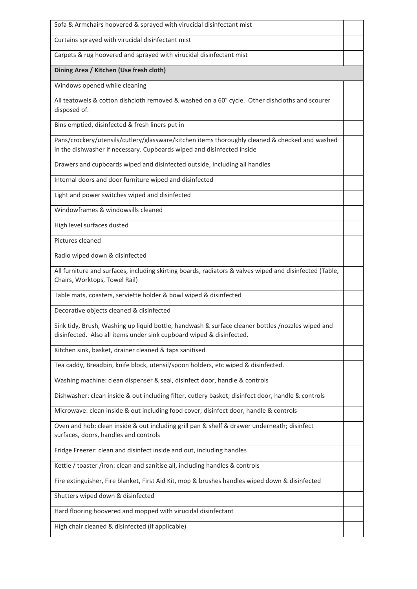| Sofa & Armchairs hoovered & sprayed with virucidal disinfectant mist                                                                                                      |  |
|---------------------------------------------------------------------------------------------------------------------------------------------------------------------------|--|
| Curtains sprayed with virucidal disinfectant mist                                                                                                                         |  |
| Carpets & rug hoovered and sprayed with virucidal disinfectant mist                                                                                                       |  |
| Dining Area / Kitchen (Use fresh cloth)                                                                                                                                   |  |
| Windows opened while cleaning                                                                                                                                             |  |
| All teatowels & cotton dishcloth removed & washed on a 60° cycle. Other dishcloths and scourer<br>disposed of.                                                            |  |
| Bins emptied, disinfected & fresh liners put in                                                                                                                           |  |
| Pans/crockery/utensils/cutlery/glassware/kitchen items thoroughly cleaned & checked and washed<br>in the dishwasher if necessary. Cupboards wiped and disinfected inside  |  |
| Drawers and cupboards wiped and disinfected outside, including all handles                                                                                                |  |
| Internal doors and door furniture wiped and disinfected                                                                                                                   |  |
| Light and power switches wiped and disinfected                                                                                                                            |  |
| Windowframes & windowsills cleaned                                                                                                                                        |  |
| High level surfaces dusted                                                                                                                                                |  |
| Pictures cleaned                                                                                                                                                          |  |
| Radio wiped down & disinfected                                                                                                                                            |  |
| All furniture and surfaces, including skirting boards, radiators & valves wiped and disinfected (Table,<br>Chairs, Worktops, Towel Rail)                                  |  |
| Table mats, coasters, serviette holder & bowl wiped & disinfected                                                                                                         |  |
| Decorative objects cleaned & disinfected                                                                                                                                  |  |
| Sink tidy, Brush, Washing up liquid bottle, handwash & surface cleaner bottles /nozzles wiped and<br>disinfected. Also all items under sink cupboard wiped & disinfected. |  |
| Kitchen sink, basket, drainer cleaned & taps sanitised                                                                                                                    |  |
| Tea caddy, Breadbin, knife block, utensil/spoon holders, etc wiped & disinfected.                                                                                         |  |
| Washing machine: clean dispenser & seal, disinfect door, handle & controls                                                                                                |  |
| Dishwasher: clean inside & out including filter, cutlery basket; disinfect door, handle & controls                                                                        |  |
| Microwave: clean inside & out including food cover; disinfect door, handle & controls                                                                                     |  |
| Oven and hob: clean inside & out including grill pan & shelf & drawer underneath; disinfect<br>surfaces, doors, handles and controls                                      |  |
| Fridge Freezer: clean and disinfect inside and out, including handles                                                                                                     |  |
| Kettle / toaster /iron: clean and sanitise all, including handles & controls                                                                                              |  |
| Fire extinguisher, Fire blanket, First Aid Kit, mop & brushes handles wiped down & disinfected                                                                            |  |
| Shutters wiped down & disinfected                                                                                                                                         |  |
| Hard flooring hoovered and mopped with virucidal disinfectant                                                                                                             |  |
| High chair cleaned & disinfected (if applicable)                                                                                                                          |  |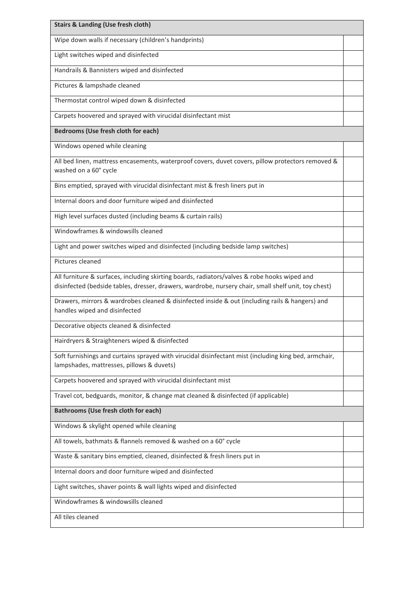| <b>Stairs &amp; Landing (Use fresh cloth)</b>                                                                                                                                                        |  |
|------------------------------------------------------------------------------------------------------------------------------------------------------------------------------------------------------|--|
| Wipe down walls if necessary (children's handprints)                                                                                                                                                 |  |
| Light switches wiped and disinfected                                                                                                                                                                 |  |
| Handrails & Bannisters wiped and disinfected                                                                                                                                                         |  |
| Pictures & lampshade cleaned                                                                                                                                                                         |  |
| Thermostat control wiped down & disinfected                                                                                                                                                          |  |
| Carpets hoovered and sprayed with virucidal disinfectant mist                                                                                                                                        |  |
| Bedrooms (Use fresh cloth for each)                                                                                                                                                                  |  |
| Windows opened while cleaning                                                                                                                                                                        |  |
| All bed linen, mattress encasements, waterproof covers, duvet covers, pillow protectors removed &<br>washed on a 60° cycle                                                                           |  |
| Bins emptied, sprayed with virucidal disinfectant mist & fresh liners put in                                                                                                                         |  |
| Internal doors and door furniture wiped and disinfected                                                                                                                                              |  |
| High level surfaces dusted (including beams & curtain rails)                                                                                                                                         |  |
| Windowframes & windowsills cleaned                                                                                                                                                                   |  |
| Light and power switches wiped and disinfected (including bedside lamp switches)                                                                                                                     |  |
| Pictures cleaned                                                                                                                                                                                     |  |
| All furniture & surfaces, including skirting boards, radiators/valves & robe hooks wiped and<br>disinfected (bedside tables, dresser, drawers, wardrobe, nursery chair, small shelf unit, toy chest) |  |
| Drawers, mirrors & wardrobes cleaned & disinfected inside & out (including rails & hangers) and<br>handles wiped and disinfected                                                                     |  |
| Decorative objects cleaned & disinfected                                                                                                                                                             |  |
| Hairdryers & Straighteners wiped & disinfected                                                                                                                                                       |  |
| Soft furnishings and curtains sprayed with virucidal disinfectant mist (including king bed, armchair,<br>lampshades, mattresses, pillows & duvets)                                                   |  |
| Carpets hoovered and sprayed with virucidal disinfectant mist                                                                                                                                        |  |
| Travel cot, bedguards, monitor, & change mat cleaned & disinfected (if applicable)                                                                                                                   |  |
| Bathrooms (Use fresh cloth for each)                                                                                                                                                                 |  |
| Windows & skylight opened while cleaning                                                                                                                                                             |  |
| All towels, bathmats & flannels removed & washed on a 60° cycle                                                                                                                                      |  |
| Waste & sanitary bins emptied, cleaned, disinfected & fresh liners put in                                                                                                                            |  |
| Internal doors and door furniture wiped and disinfected                                                                                                                                              |  |
| Light switches, shaver points & wall lights wiped and disinfected                                                                                                                                    |  |
| Windowframes & windowsills cleaned                                                                                                                                                                   |  |
| All tiles cleaned                                                                                                                                                                                    |  |